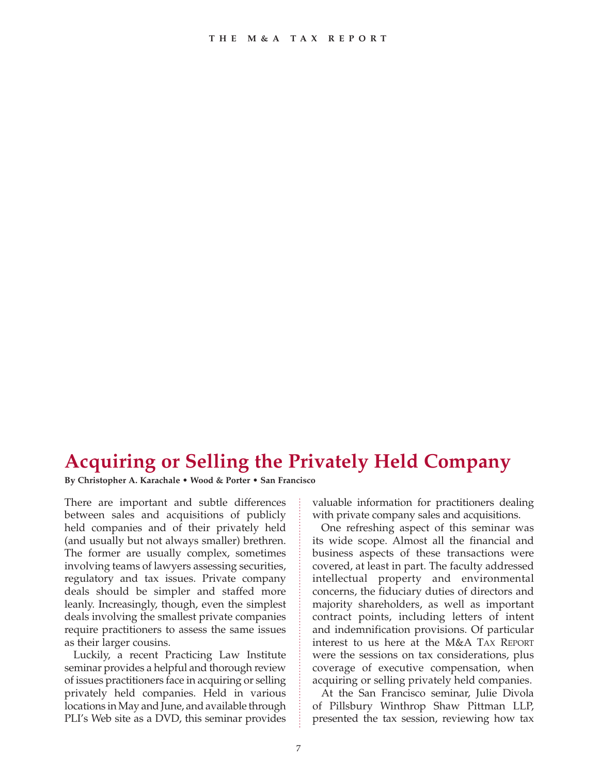## **Acquiring or Selling the Privately Held Company**

**By Christopher A. Karachale • Wood & Porter • San Francisco**

There are important and subtle differences between sales and acquisitions of publicly held companies and of their privately held (and usually but not always smaller) brethren. The former are usually complex, sometimes involving teams of lawyers assessing securities, regulatory and tax issues. Private company deals should be simpler and staffed more leanly. Increasingly, though, even the simplest deals involving the smallest private companies require practitioners to assess the same issues as their larger cousins.

Luckily, a recent Practicing Law Institute seminar provides a helpful and thorough review of issues practitioners face in acquiring or selling privately held companies. Held in various locations in May and June, and available through PLI's Web site as a DVD, this seminar provides

valuable information for practitioners dealing with private company sales and acquisitions.

One refreshing aspect of this seminar was its wide scope. Almost all the financial and business aspects of these transactions were covered, at least in part. The faculty addressed intellectual property and environmental concerns, the fiduciary duties of directors and majority shareholders, as well as important contract points, including letters of intent and indemnification provisions. Of particular interest to us here at the M&A TAX REPORT were the sessions on tax considerations, plus coverage of executive compensation, when acquiring or selling privately held companies.

At the San Francisco seminar, Julie Divola of Pillsbury Winthrop Shaw Pittman LLP, presented the tax session, reviewing how tax